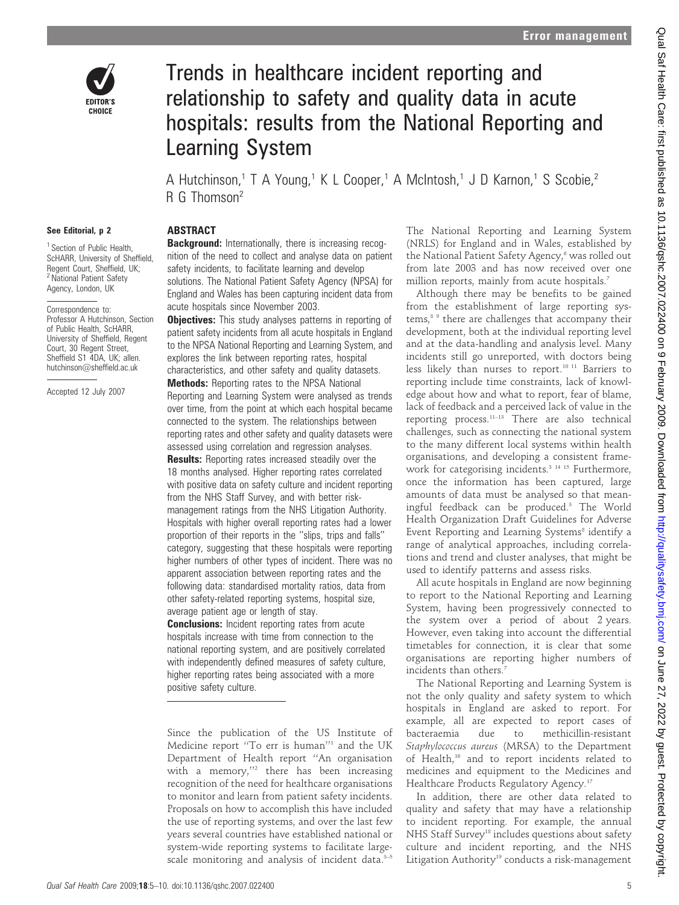

# Trends in healthcare incident reporting and relationship to safety and quality data in acute hospitals: results from the National Reporting and Learning System

A Hutchinson,<sup>1</sup> T A Young,<sup>1</sup> K L Cooper,<sup>1</sup> A McIntosh,<sup>1</sup> J D Karnon,<sup>1</sup> S Scobie,<sup>2</sup> R G Thomson<sup>2</sup>

#### See Editorial, p 2

<sup>1</sup> Section of Public Health. ScHARR, University of Sheffield, Regent Court, Sheffield, UK; <sup>2</sup> National Patient Safety Agency, London, UK

Correspondence to: Professor A Hutchinson, Section of Public Health, ScHARR, University of Sheffield, Regent Court, 30 Regent Street, Sheffield S1 4DA, UK; allen. hutchinson@sheffield.ac.uk

Accepted 12 July 2007

# **ABSTRACT**

**Background:** Internationally, there is increasing recognition of the need to collect and analyse data on patient safety incidents, to facilitate learning and develop solutions. The National Patient Safety Agency (NPSA) for England and Wales has been capturing incident data from acute hospitals since November 2003.

**Objectives:** This study analyses patterns in reporting of patient safety incidents from all acute hospitals in England to the NPSA National Reporting and Learning System, and explores the link between reporting rates, hospital characteristics, and other safety and quality datasets.

Methods: Reporting rates to the NPSA National Reporting and Learning System were analysed as trends over time, from the point at which each hospital became connected to the system. The relationships between reporting rates and other safety and quality datasets were assessed using correlation and regression analyses.

**Results:** Reporting rates increased steadily over the 18 months analysed. Higher reporting rates correlated with positive data on safety culture and incident reporting from the NHS Staff Survey, and with better riskmanagement ratings from the NHS Litigation Authority. Hospitals with higher overall reporting rates had a lower proportion of their reports in the ''slips, trips and falls'' category, suggesting that these hospitals were reporting higher numbers of other types of incident. There was no apparent association between reporting rates and the following data: standardised mortality ratios, data from other safety-related reporting systems, hospital size, average patient age or length of stay.

**Conclusions:** Incident reporting rates from acute hospitals increase with time from connection to the national reporting system, and are positively correlated with independently defined measures of safety culture, higher reporting rates being associated with a more positive safety culture.

Since the publication of the US Institute of Medicine report ''To err is human''1 and the UK Department of Health report ''An organisation with a memory,"<sup>2</sup> there has been increasing recognition of the need for healthcare organisations to monitor and learn from patient safety incidents. Proposals on how to accomplish this have included the use of reporting systems, and over the last few years several countries have established national or system-wide reporting systems to facilitate largescale monitoring and analysis of incident data.<sup>3-5</sup> The National Reporting and Learning System (NRLS) for England and in Wales, established by the National Patient Safety Agency,<sup>6</sup> was rolled out from late 2003 and has now received over one million reports, mainly from acute hospitals.<sup>7</sup>

Although there may be benefits to be gained from the establishment of large reporting systems,8 9 there are challenges that accompany their development, both at the individual reporting level and at the data-handling and analysis level. Many incidents still go unreported, with doctors being less likely than nurses to report.10 11 Barriers to reporting include time constraints, lack of knowledge about how and what to report, fear of blame, lack of feedback and a perceived lack of value in the reporting process.<sup>11–13</sup> There are also technical challenges, such as connecting the national system to the many different local systems within health organisations, and developing a consistent framework for categorising incidents.<sup>3 14 15</sup> Furthermore, once the information has been captured, large amounts of data must be analysed so that meaningful feedback can be produced.3 The World Health Organization Draft Guidelines for Adverse Event Reporting and Learning Systems<sup>8</sup> identify a range of analytical approaches, including correlations and trend and cluster analyses, that might be used to identify patterns and assess risks.

All acute hospitals in England are now beginning to report to the National Reporting and Learning System, having been progressively connected to the system over a period of about 2 years. However, even taking into account the differential timetables for connection, it is clear that some organisations are reporting higher numbers of incidents than others.<sup>7</sup>

The National Reporting and Learning System is not the only quality and safety system to which hospitals in England are asked to report. For example, all are expected to report cases of bacteraemia due to methicillin-resistant Staphylococcus aureus (MRSA) to the Department of Health,16 and to report incidents related to medicines and equipment to the Medicines and Healthcare Products Regulatory Agency.<sup>17</sup>

In addition, there are other data related to quality and safety that may have a relationship to incident reporting. For example, the annual NHS Staff Survey<sup>18</sup> includes questions about safety culture and incident reporting, and the NHS Litigation Authority<sup>19</sup> conducts a risk-management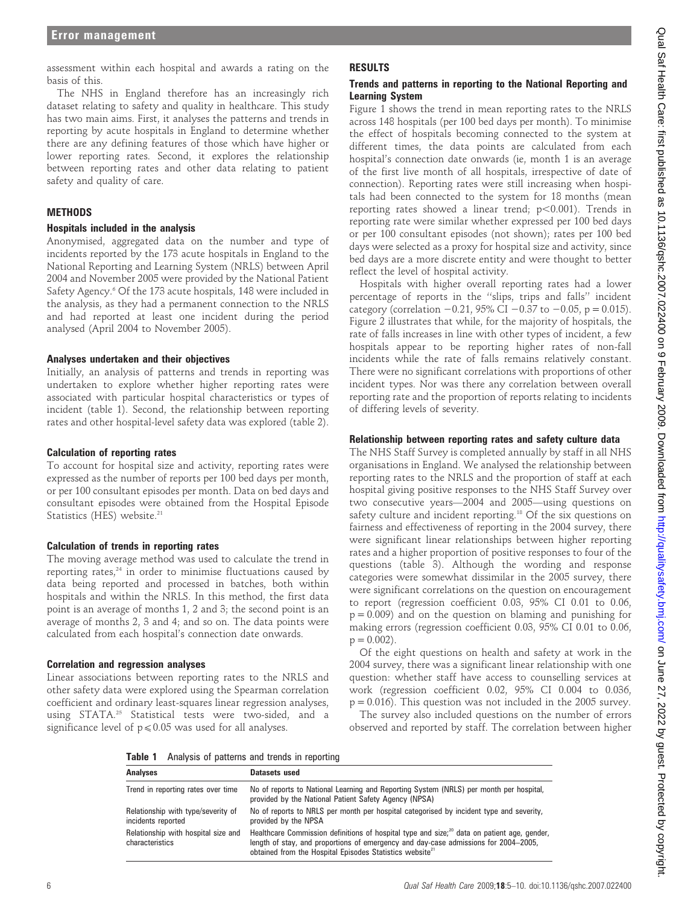assessment within each hospital and awards a rating on the basis of this.

The NHS in England therefore has an increasingly rich dataset relating to safety and quality in healthcare. This study has two main aims. First, it analyses the patterns and trends in reporting by acute hospitals in England to determine whether there are any defining features of those which have higher or lower reporting rates. Second, it explores the relationship between reporting rates and other data relating to patient safety and quality of care.

#### **METHODS**

#### Hospitals included in the analysis

Anonymised, aggregated data on the number and type of incidents reported by the 173 acute hospitals in England to the National Reporting and Learning System (NRLS) between April 2004 and November 2005 were provided by the National Patient Safety Agency.<sup>6</sup> Of the 173 acute hospitals, 148 were included in the analysis, as they had a permanent connection to the NRLS and had reported at least one incident during the period analysed (April 2004 to November 2005).

#### Analyses undertaken and their objectives

Initially, an analysis of patterns and trends in reporting was undertaken to explore whether higher reporting rates were associated with particular hospital characteristics or types of incident (table 1). Second, the relationship between reporting rates and other hospital-level safety data was explored (table 2).

#### Calculation of reporting rates

To account for hospital size and activity, reporting rates were expressed as the number of reports per 100 bed days per month, or per 100 consultant episodes per month. Data on bed days and consultant episodes were obtained from the Hospital Episode Statistics (HES) website.<sup>21</sup>

#### Calculation of trends in reporting rates

The moving average method was used to calculate the trend in reporting rates, $24$  in order to minimise fluctuations caused by data being reported and processed in batches, both within hospitals and within the NRLS. In this method, the first data point is an average of months 1, 2 and 3; the second point is an average of months 2, 3 and 4; and so on. The data points were calculated from each hospital's connection date onwards.

#### Correlation and regression analyses

Linear associations between reporting rates to the NRLS and other safety data were explored using the Spearman correlation coefficient and ordinary least-squares linear regression analyses, using STATA.25 Statistical tests were two-sided, and a significance level of  $p \le 0.05$  was used for all analyses.

# RESULTS

## Trends and patterns in reporting to the National Reporting and Learning System

Figure 1 shows the trend in mean reporting rates to the NRLS across 148 hospitals (per 100 bed days per month). To minimise the effect of hospitals becoming connected to the system at different times, the data points are calculated from each hospital's connection date onwards (ie, month 1 is an average of the first live month of all hospitals, irrespective of date of connection). Reporting rates were still increasing when hospitals had been connected to the system for 18 months (mean reporting rates showed a linear trend;  $p<0.001$ ). Trends in reporting rate were similar whether expressed per 100 bed days or per 100 consultant episodes (not shown); rates per 100 bed days were selected as a proxy for hospital size and activity, since bed days are a more discrete entity and were thought to better reflect the level of hospital activity.

Hospitals with higher overall reporting rates had a lower percentage of reports in the ''slips, trips and falls'' incident category (correlation  $-0.21$ , 95% CI  $-0.37$  to  $-0.05$ , p = 0.015). Figure 2 illustrates that while, for the majority of hospitals, the rate of falls increases in line with other types of incident, a few hospitals appear to be reporting higher rates of non-fall incidents while the rate of falls remains relatively constant. There were no significant correlations with proportions of other incident types. Nor was there any correlation between overall reporting rate and the proportion of reports relating to incidents of differing levels of severity.

## Relationship between reporting rates and safety culture data

The NHS Staff Survey is completed annually by staff in all NHS organisations in England. We analysed the relationship between reporting rates to the NRLS and the proportion of staff at each hospital giving positive responses to the NHS Staff Survey over two consecutive years—2004 and 2005—using questions on safety culture and incident reporting.<sup>18</sup> Of the six questions on fairness and effectiveness of reporting in the 2004 survey, there were significant linear relationships between higher reporting rates and a higher proportion of positive responses to four of the questions (table 3). Although the wording and response categories were somewhat dissimilar in the 2005 survey, there were significant correlations on the question on encouragement to report (regression coefficient 0.03, 95% CI 0.01 to 0.06,  $p = 0.009$ ) and on the question on blaming and punishing for making errors (regression coefficient 0.03, 95% CI 0.01 to 0.06,  $p = 0.002$ ).

Of the eight questions on health and safety at work in the 2004 survey, there was a significant linear relationship with one question: whether staff have access to counselling services at work (regression coefficient 0.02, 95% CI 0.004 to 0.036,  $p = 0.016$ ). This question was not included in the 2005 survey.

The survey also included questions on the number of errors observed and reported by staff. The correlation between higher

Table 1 Analysis of patterns and trends in reporting

| <b>Analyses</b>                                          | Datasets used                                                                                                                                                                                                                                                          |
|----------------------------------------------------------|------------------------------------------------------------------------------------------------------------------------------------------------------------------------------------------------------------------------------------------------------------------------|
| Trend in reporting rates over time                       | No of reports to National Learning and Reporting System (NRLS) per month per hospital,<br>provided by the National Patient Safety Agency (NPSA)                                                                                                                        |
| Relationship with type/severity of<br>incidents reported | No of reports to NRLS per month per hospital categorised by incident type and severity,<br>provided by the NPSA                                                                                                                                                        |
| Relationship with hospital size and<br>characteristics   | Healthcare Commission definitions of hospital type and size; <sup>20</sup> data on patient age, gender,<br>length of stay, and proportions of emergency and day-case admissions for 2004–2005,<br>obtained from the Hospital Episodes Statistics website <sup>21</sup> |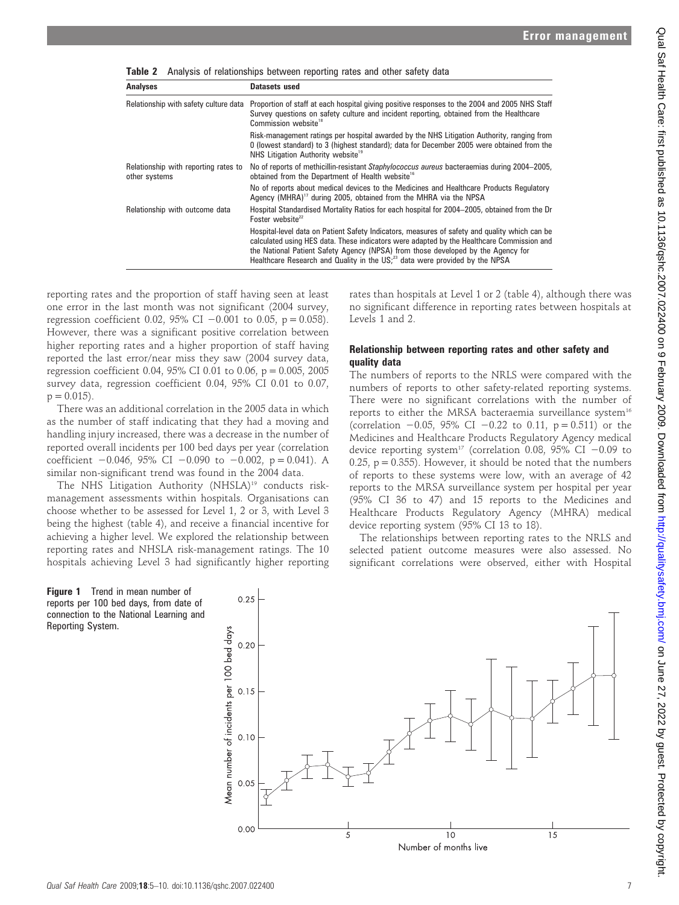| <b>Analyses</b>                                       | Datasets used                                                                                                                                                                                                                                                                                                                                                             |  |  |
|-------------------------------------------------------|---------------------------------------------------------------------------------------------------------------------------------------------------------------------------------------------------------------------------------------------------------------------------------------------------------------------------------------------------------------------------|--|--|
| Relationship with safety culture data                 | Proportion of staff at each hospital giving positive responses to the 2004 and 2005 NHS Staff<br>Survey questions on safety culture and incident reporting, obtained from the Healthcare<br>Commission website <sup>18</sup>                                                                                                                                              |  |  |
|                                                       | Risk-management ratings per hospital awarded by the NHS Litigation Authority, ranging from<br>0 (lowest standard) to 3 (highest standard); data for December 2005 were obtained from the<br>NHS Litigation Authority website <sup>19</sup>                                                                                                                                |  |  |
| Relationship with reporting rates to<br>other systems | No of reports of methicillin-resistant Staphylococcus aureus bacteraemias during 2004–2005,<br>obtained from the Department of Health website <sup>16</sup>                                                                                                                                                                                                               |  |  |
|                                                       | No of reports about medical devices to the Medicines and Healthcare Products Regulatory<br>Agency (MHRA) <sup>17</sup> during 2005, obtained from the MHRA via the NPSA                                                                                                                                                                                                   |  |  |
| Relationship with outcome data                        | Hospital Standardised Mortality Ratios for each hospital for 2004–2005, obtained from the Dr<br>Foster website <sup>22</sup>                                                                                                                                                                                                                                              |  |  |
|                                                       | Hospital-level data on Patient Safety Indicators, measures of safety and quality which can be<br>calculated using HES data. These indicators were adapted by the Healthcare Commission and<br>the National Patient Safety Agency (NPSA) from those developed by the Agency for<br>Healthcare Research and Quality in the US; <sup>23</sup> data were provided by the NPSA |  |  |

Table 2 Analysis of relationships between reporting rates and other safety data

reporting rates and the proportion of staff having seen at least one error in the last month was not significant (2004 survey, regression coefficient 0.02, 95% CI  $-0.001$  to 0.05, p = 0.058). However, there was a significant positive correlation between higher reporting rates and a higher proportion of staff having reported the last error/near miss they saw (2004 survey data, regression coefficient 0.04, 95% CI 0.01 to 0.06,  $p = 0.005$ , 2005 survey data, regression coefficient 0.04, 95% CI 0.01 to 0.07,  $p = 0.015$ .

There was an additional correlation in the 2005 data in which as the number of staff indicating that they had a moving and handling injury increased, there was a decrease in the number of reported overall incidents per 100 bed days per year (correlation coefficient  $-0.046$ , 95% CI  $-0.090$  to  $-0.002$ , p = 0.041). A similar non-significant trend was found in the 2004 data.

The NHS Litigation Authority (NHSLA)<sup>19</sup> conducts riskmanagement assessments within hospitals. Organisations can choose whether to be assessed for Level 1, 2 or 3, with Level 3 being the highest (table 4), and receive a financial incentive for achieving a higher level. We explored the relationship between reporting rates and NHSLA risk-management ratings. The 10 hospitals achieving Level 3 had significantly higher reporting

rates than hospitals at Level 1 or 2 (table 4), although there was no significant difference in reporting rates between hospitals at Levels 1 and 2.

#### Relationship between reporting rates and other safety and quality data

The numbers of reports to the NRLS were compared with the numbers of reports to other safety-related reporting systems. There were no significant correlations with the number of reports to either the MRSA bacteraemia surveillance system<sup>16</sup> (correlation  $-0.05$ , 95% CI  $-0.22$  to 0.11, p = 0.511) or the Medicines and Healthcare Products Regulatory Agency medical device reporting system<sup>17</sup> (correlation 0.08, 95% CI  $-0.09$  to 0.25,  $p = 0.355$ ). However, it should be noted that the numbers of reports to these systems were low, with an average of 42 reports to the MRSA surveillance system per hospital per year (95% CI 36 to 47) and 15 reports to the Medicines and Healthcare Products Regulatory Agency (MHRA) medical device reporting system (95% CI 13 to 18).

The relationships between reporting rates to the NRLS and selected patient outcome measures were also assessed. No significant correlations were observed, either with Hospital



Figure 1 Trend in mean number of reports per 100 bed days, from date of connection to the National Learning and Reporting System.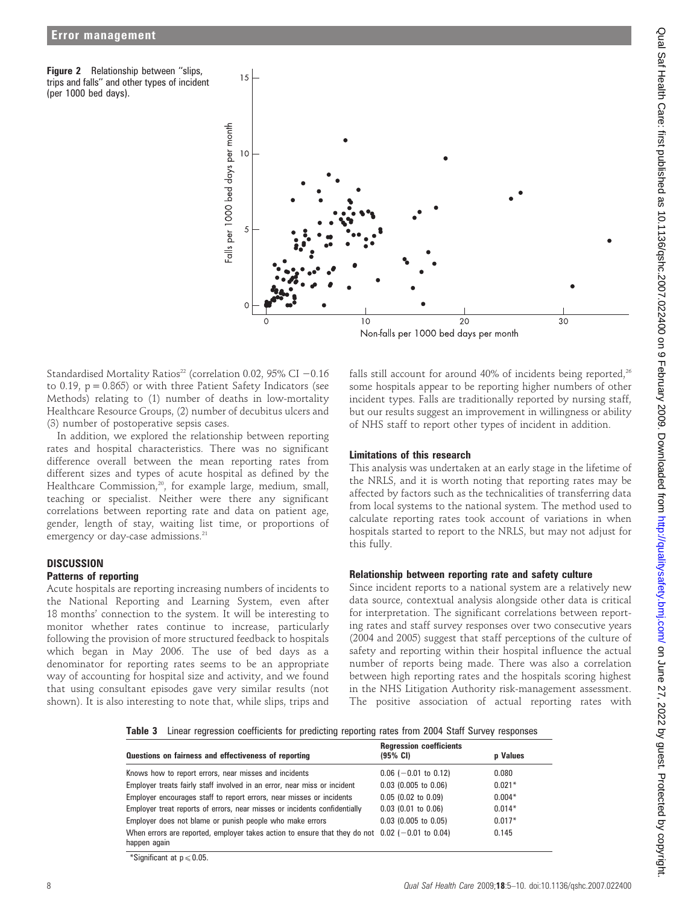Figure 2 Relationship between "slips, trips and falls'' and other types of incident (per 1000 bed days).



Standardised Mortality Ratios<sup>22</sup> (correlation 0.02, 95% CI  $-0.16$ to 0.19,  $p = 0.865$ ) or with three Patient Safety Indicators (see Methods) relating to (1) number of deaths in low-mortality Healthcare Resource Groups, (2) number of decubitus ulcers and (3) number of postoperative sepsis cases.

In addition, we explored the relationship between reporting rates and hospital characteristics. There was no significant difference overall between the mean reporting rates from different sizes and types of acute hospital as defined by the Healthcare Commission,<sup>20</sup>, for example large, medium, small, teaching or specialist. Neither were there any significant correlations between reporting rate and data on patient age, gender, length of stay, waiting list time, or proportions of emergency or day-case admissions.<sup>21</sup>

# **DISCUSSION**

# Patterns of reporting

Acute hospitals are reporting increasing numbers of incidents to the National Reporting and Learning System, even after 18 months' connection to the system. It will be interesting to monitor whether rates continue to increase, particularly following the provision of more structured feedback to hospitals which began in May 2006. The use of bed days as a denominator for reporting rates seems to be an appropriate way of accounting for hospital size and activity, and we found that using consultant episodes gave very similar results (not shown). It is also interesting to note that, while slips, trips and

falls still account for around 40% of incidents being reported, $26$ some hospitals appear to be reporting higher numbers of other incident types. Falls are traditionally reported by nursing staff, but our results suggest an improvement in willingness or ability of NHS staff to report other types of incident in addition.

# Limitations of this research

This analysis was undertaken at an early stage in the lifetime of the NRLS, and it is worth noting that reporting rates may be affected by factors such as the technicalities of transferring data from local systems to the national system. The method used to calculate reporting rates took account of variations in when hospitals started to report to the NRLS, but may not adjust for this fully.

## Relationship between reporting rate and safety culture

Since incident reports to a national system are a relatively new data source, contextual analysis alongside other data is critical for interpretation. The significant correlations between reporting rates and staff survey responses over two consecutive years (2004 and 2005) suggest that staff perceptions of the culture of safety and reporting within their hospital influence the actual number of reports being made. There was also a correlation between high reporting rates and the hospitals scoring highest in the NHS Litigation Authority risk-management assessment. The positive association of actual reporting rates with

Table 3 Linear regression coefficients for predicting reporting rates from 2004 Staff Survey responses

| Questions on fairness and effectiveness of reporting                                                              | <b>Regression coefficients</b><br>$(95% \; \text{Cl})$ | <b>p</b> Values |
|-------------------------------------------------------------------------------------------------------------------|--------------------------------------------------------|-----------------|
| Knows how to report errors, near misses and incidents                                                             | $0.06$ (-0.01 to 0.12)                                 | 0.080           |
| Employer treats fairly staff involved in an error, near miss or incident                                          | $0.03$ (0.005 to 0.06)                                 | $0.021*$        |
| Employer encourages staff to report errors, near misses or incidents                                              | $0.05$ (0.02 to 0.09)                                  | $0.004*$        |
| Employer treat reports of errors, near misses or incidents confidentially                                         | $0.03$ (0.01 to 0.06)                                  | $0.014*$        |
| Employer does not blame or punish people who make errors                                                          | $0.03$ (0.005 to 0.05)                                 | $0.017*$        |
| When errors are reported, employer takes action to ensure that they do not $0.02$ (-0.01 to 0.04)<br>happen again |                                                        | 0.145           |

\*Significant at  $p \le 0.05$ .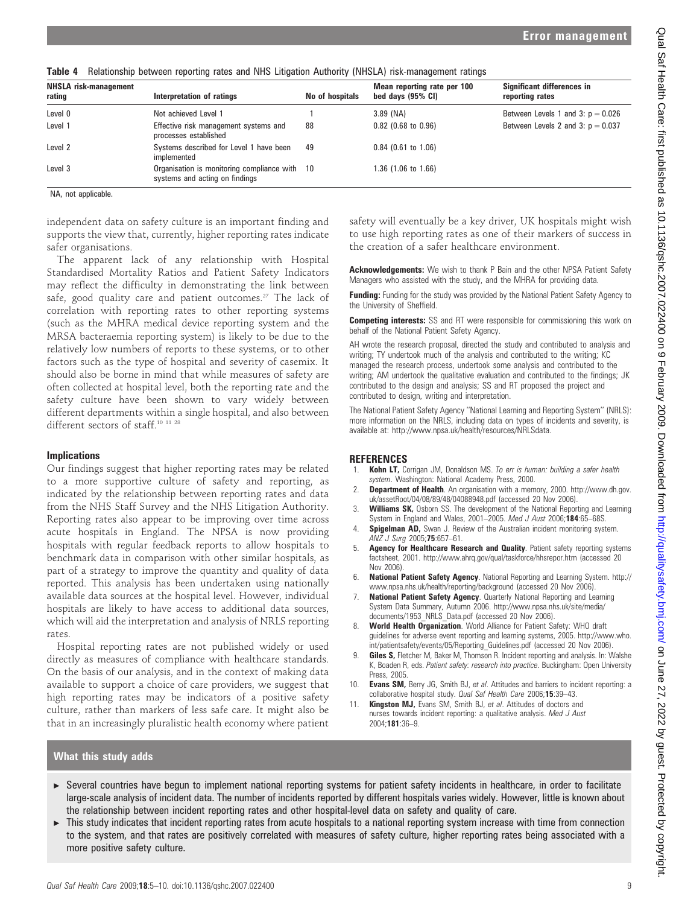| <b>NHSLA risk-management</b><br>rating | Interpretation of ratings                                                       | No of hospitals | Mean reporting rate per 100<br>bed days (95% CI) | Significant differences in<br>reporting rates |
|----------------------------------------|---------------------------------------------------------------------------------|-----------------|--------------------------------------------------|-----------------------------------------------|
| Level 0                                | Not achieved Level 1                                                            |                 | $3.89$ (NA)                                      | Between Levels 1 and 3: $p = 0.026$           |
| Level 1                                | Effective risk management systems and<br>processes established                  | 88              | $0.82$ (0.68 to 0.96)                            | Between Levels 2 and 3: $p = 0.037$           |
| Level <sub>2</sub>                     | Systems described for Level 1 have been<br>implemented                          | 49              | $0.84$ (0.61 to 1.06)                            |                                               |
| Level 3                                | Organisation is monitoring compliance with 10<br>systems and acting on findings |                 | 1.36 (1.06 to 1.66)                              |                                               |

#### Table 4 Relationship between reporting rates and NHS Litigation Authority (NHSLA) risk-management ratings

NA, not applicable.

independent data on safety culture is an important finding and supports the view that, currently, higher reporting rates indicate safer organisations.

The apparent lack of any relationship with Hospital Standardised Mortality Ratios and Patient Safety Indicators may reflect the difficulty in demonstrating the link between safe, good quality care and patient outcomes.<sup>27</sup> The lack of correlation with reporting rates to other reporting systems (such as the MHRA medical device reporting system and the MRSA bacteraemia reporting system) is likely to be due to the relatively low numbers of reports to these systems, or to other factors such as the type of hospital and severity of casemix. It should also be borne in mind that while measures of safety are often collected at hospital level, both the reporting rate and the safety culture have been shown to vary widely between different departments within a single hospital, and also between different sectors of staff.<sup>10 11 28</sup>

#### Implications

Our findings suggest that higher reporting rates may be related to a more supportive culture of safety and reporting, as indicated by the relationship between reporting rates and data from the NHS Staff Survey and the NHS Litigation Authority. Reporting rates also appear to be improving over time across acute hospitals in England. The NPSA is now providing hospitals with regular feedback reports to allow hospitals to benchmark data in comparison with other similar hospitals, as part of a strategy to improve the quantity and quality of data reported. This analysis has been undertaken using nationally available data sources at the hospital level. However, individual hospitals are likely to have access to additional data sources, which will aid the interpretation and analysis of NRLS reporting rates.

Hospital reporting rates are not published widely or used directly as measures of compliance with healthcare standards. On the basis of our analysis, and in the context of making data available to support a choice of care providers, we suggest that high reporting rates may be indicators of a positive safety culture, rather than markers of less safe care. It might also be that in an increasingly pluralistic health economy where patient

safety will eventually be a key driver, UK hospitals might wish to use high reporting rates as one of their markers of success in the creation of a safer healthcare environment.

Acknowledgements: We wish to thank P Bain and the other NPSA Patient Safety Managers who assisted with the study, and the MHRA for providing data.

Funding: Funding for the study was provided by the National Patient Safety Agency to the University of Sheffield.

Competing interests: SS and RT were responsible for commissioning this work on behalf of the National Patient Safety Agency.

AH wrote the research proposal, directed the study and contributed to analysis and writing; TY undertook much of the analysis and contributed to the writing; KC managed the research process, undertook some analysis and contributed to the writing; AM undertook the qualitative evaluation and contributed to the findings; JK contributed to the design and analysis; SS and RT proposed the project and contributed to design, writing and interpretation.

The National Patient Safety Agency ''National Learning and Reporting System'' (NRLS): more information on the NRLS, including data on types of incidents and severity, is available at: http://www.npsa.uk/health/resources/NRLSdata.

#### REFERENCES

- Kohn LT, Corrigan JM, Donaldson MS. To err is human: building a safer health system. Washington: National Academy Press, 2000.
- 2. **Department of Health**. An organisation with a memory, 2000. http://www.dh.gov. uk/assetRoot/04/08/89/48/04088948.pdf (accessed 20 Nov 2006).
- 3. Williams SK, Osborn SS. The development of the National Reporting and Learning System in England and Wales, 2001-2005. Med J Aust 2006;184:65-68S.
- 4. **Spigelman AD,** Swan J. Review of the Australian incident monitoring system. ANZ J Surg 2005;75:657-61.
- 5. **Agency for Healthcare Research and Quality**. Patient safety reporting systems factsheet, 2001. http://www.ahrq.gov/qual/taskforce/hhsrepor.htm (accessed 20 Nov 2006)
- 6. National Patient Safety Agency. National Reporting and Learning System. http:// www.npsa.nhs.uk/health/reporting/background (accessed 20 Nov 2006).
- 7. National Patient Safety Agency. Quarterly National Reporting and Learning System Data Summary, Autumn 2006. http://www.npsa.nhs.uk/site/media/ documents/1953\_NRLS\_Data.pdf (accessed 20 Nov 2006).
- 8. World Health Organization. World Alliance for Patient Safety: WHO draft guidelines for adverse event reporting and learning systems, 2005. http://www.who. int/patientsafety/events/05/Reporting\_Guidelines.pdf (accessed 20 Nov 2006).
- 9. Giles S, Fletcher M, Baker M, Thomson R. Incident reporting and analysis. In: Walshe K, Boaden R, eds. Patient safety: research into practice. Buckingham: Open University Press, 2005.
- 10. **Evans SM,** Berry JG, Smith BJ, et al. Attitudes and barriers to incident reporting: a collaborative hospital study. Qual Saf Health Care 2006;15:39–43.
- **Kingston MJ, Evans SM, Smith BJ, et al. Attitudes of doctors and** nurses towards incident reporting: a qualitative analysis. Med J Aust 2004;181:36–9.

#### What this study adds

- ▶ Several countries have begun to implement national reporting systems for patient safety incidents in healthcare, in order to facilitate large-scale analysis of incident data. The number of incidents reported by different hospitals varies widely. However, little is known about the relationship between incident reporting rates and other hospital-level data on safety and quality of care.
- <sup>c</sup> This study indicates that incident reporting rates from acute hospitals to a national reporting system increase with time from connection to the system, and that rates are positively correlated with measures of safety culture, higher reporting rates being associated with a more positive safety culture.